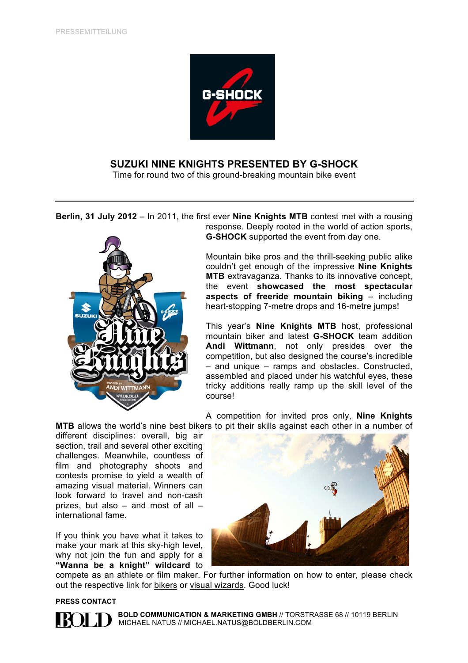

# **SUZUKI NINE KNIGHTS PRESENTED BY G-SHOCK**

Time for round two of this ground-breaking mountain bike event

**Berlin, 31 July 2012** – In 2011, the first ever **Nine Knights MTB** contest met with a rousing response. Deeply rooted in the world of action sports,

**G-SHOCK** supported the event from day one.

Mountain bike pros and the thrill-seeking public alike couldn't get enough of the impressive **Nine Knights MTB** extravaganza. Thanks to its innovative concept, the event **showcased the most spectacular aspects of freeride mountain biking** – including heart-stopping 7-metre drops and 16-metre jumps!

This year's **Nine Knights MTB** host, professional mountain biker and latest **G-SHOCK** team addition **Andi Wittmann**, not only presides over the competition, but also designed the course's incredible – and unique – ramps and obstacles. Constructed, assembled and placed under his watchful eyes, these tricky additions really ramp up the skill level of the course!

A competition for invited pros only, **Nine Knights MTB** allows the world's nine best bikers to pit their skills against each other in a number of

different disciplines: overall, big air section, trail and several other exciting challenges. Meanwhile, countless of film and photography shoots and contests promise to yield a wealth of amazing visual material. Winners can look forward to travel and non-cash prizes, but also – and most of all – international fame.

If you think you have what it takes to make your mark at this sky-high level, why not join the fun and apply for a **"Wanna be a knight" wildcard** to



compete as an athlete or film maker. For further information on how to enter, please check out the respective link for [bikers](http://nineknightsmtb.com/qualification-for-athletes/) or [visual wizards.](http://nineknightsmtb.com/qualification-for-filmmakers/) Good luck!

**PRESS CONTACT** 

 **BOLD COMMUNICATION & MARKETING GMBH** // TORSTRASSE 68 // 10119 BERLIN **MICHAEL NATUS // MICHAEL.NATUS@BOLDBERLIN.COM**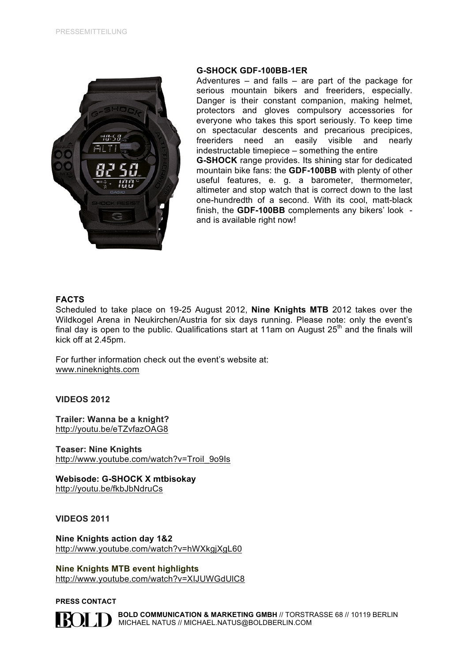

#### **G-SHOCK GDF-100BB-1ER**

Adventures  $-$  and falls  $-$  are part of the package for serious mountain bikers and freeriders, especially. Danger is their constant companion, making helmet, protectors and gloves compulsory accessories for everyone who takes this sport seriously. To keep time on spectacular descents and precarious precipices, freeriders need an easily visible and nearly indestructable timepiece – something the entire **G-SHOCK** range provides. Its shining star for dedicated mountain bike fans: the **GDF-100BB** with plenty of other useful features, e. g. a barometer, thermometer,

altimeter and stop watch that is correct down to the last one-hundredth of a second. With its cool, matt-black finish, the **GDF-100BB** complements any bikers' look and is available right now!

### **FACTS**

Scheduled to take place on 19-25 August 2012, **Nine Knights MTB** 2012 takes over the Wildkogel Arena in Neukirchen/Austria for six days running. Please note: only the event's final day is open to the public. Qualifications start at 11am on August  $25<sup>th</sup>$  and the finals will kick off at 2.45pm.

For further information check out the event's website at: <www.nineknights.com>

**VIDEOS 2012**

**Trailer: Wanna be a knight?**  <http://youtu.be/eTZvfazOAG8>

**Teaser: Nine Knights**  http://www.youtube.com/watch?v=Troil\_9o9Is

**Webisode: G-SHOCK X mtbisokay**  <http://youtu.be/fkbJbNdruCs>

**VIDEOS 2011**

**Nine Knights action day 1&2** <http://www.youtube.com/watch?v=hWXkgjXgL60>

**Nine Knights MTB event highlights** <http://www.youtube.com/watch?v=XIJUWGdUlC8>

**PRESS CONTACT** 



 **BOLD COMMUNICATION & MARKETING GMBH** // TORSTRASSE 68 // 10119 BERLIN MICHAEL NATUS // MICHAEL.NATUS@BOLDBERLIN.COM